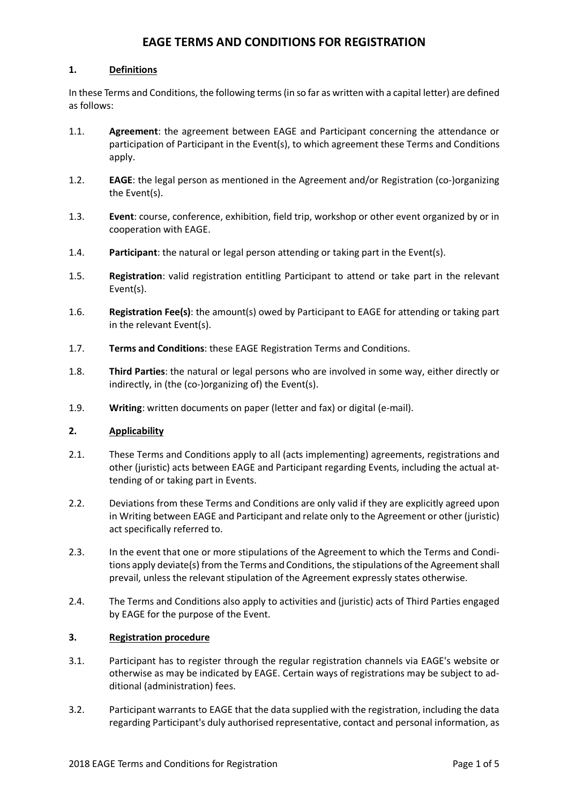# **EAGE TERMS AND CONDITIONS FOR REGISTRATION**

# **1. Definitions**

In these Terms and Conditions, the following terms (in so far as written with a capital letter) are defined as follows:

- 1.1. **Agreement**: the agreement between EAGE and Participant concerning the attendance or participation of Participant in the Event(s), to which agreement these Terms and Conditions apply.
- 1.2. **EAGE**: the legal person as mentioned in the Agreement and/or Registration (co-)organizing the Event(s).
- 1.3. **Event**: course, conference, exhibition, field trip, workshop or other event organized by or in cooperation with EAGE.
- 1.4. **Participant**: the natural or legal person attending or taking part in the Event(s).
- 1.5. **Registration**: valid registration entitling Participant to attend or take part in the relevant Event(s).
- 1.6. **Registration Fee(s)**: the amount(s) owed by Participant to EAGE for attending or taking part in the relevant Event(s).
- 1.7. **Terms and Conditions**: these EAGE Registration Terms and Conditions.
- 1.8. **Third Parties**: the natural or legal persons who are involved in some way, either directly or indirectly, in (the (co-)organizing of) the Event(s).
- 1.9. **Writing**: written documents on paper (letter and fax) or digital (e-mail).

### **2. Applicability**

- 2.1. These Terms and Conditions apply to all (acts implementing) agreements, registrations and other (juristic) acts between EAGE and Participant regarding Events, including the actual attending of or taking part in Events.
- 2.2. Deviations from these Terms and Conditions are only valid if they are explicitly agreed upon in Writing between EAGE and Participant and relate only to the Agreement or other (juristic) act specifically referred to.
- 2.3. In the event that one or more stipulations of the Agreement to which the Terms and Conditions apply deviate(s) from the Terms and Conditions, the stipulations of the Agreement shall prevail, unless the relevant stipulation of the Agreement expressly states otherwise.
- 2.4. The Terms and Conditions also apply to activities and (juristic) acts of Third Parties engaged by EAGE for the purpose of the Event.

### **3. Registration procedure**

- 3.1. Participant has to register through the regular registration channels via EAGE's website or otherwise as may be indicated by EAGE. Certain ways of registrations may be subject to additional (administration) fees.
- 3.2. Participant warrants to EAGE that the data supplied with the registration, including the data regarding Participant's duly authorised representative, contact and personal information, as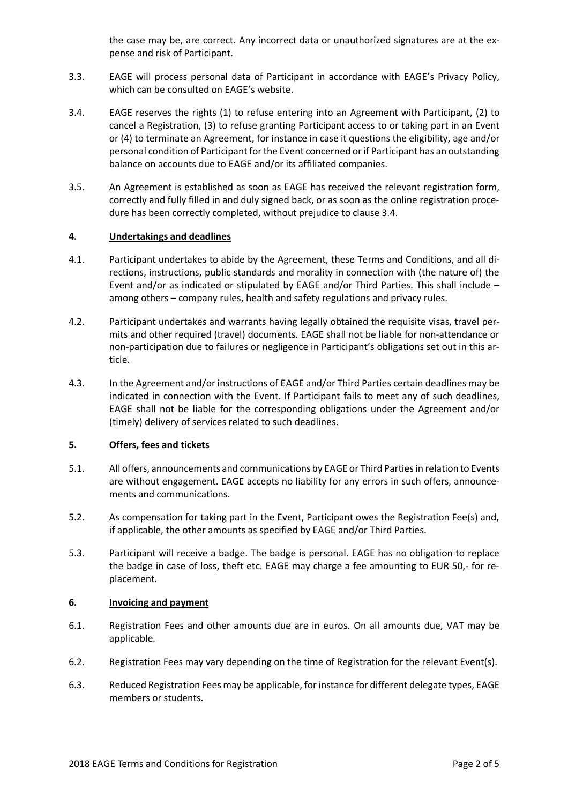the case may be, are correct. Any incorrect data or unauthorized signatures are at the expense and risk of Participant.

- 3.3. EAGE will process personal data of Participant in accordance with EAGE's Privacy Policy, which can be consulted on EAGE's website.
- 3.4. EAGE reserves the rights (1) to refuse entering into an Agreement with Participant, (2) to cancel a Registration, (3) to refuse granting Participant access to or taking part in an Event or (4) to terminate an Agreement, for instance in case it questions the eligibility, age and/or personal condition of Participant for the Event concerned or if Participant has an outstanding balance on accounts due to EAGE and/or its affiliated companies.
- 3.5. An Agreement is established as soon as EAGE has received the relevant registration form, correctly and fully filled in and duly signed back, or as soon as the online registration procedure has been correctly completed, without prejudice to clause 3.4.

#### **4. Undertakings and deadlines**

- 4.1. Participant undertakes to abide by the Agreement, these Terms and Conditions, and all directions, instructions, public standards and morality in connection with (the nature of) the Event and/or as indicated or stipulated by EAGE and/or Third Parties. This shall include – among others – company rules, health and safety regulations and privacy rules.
- 4.2. Participant undertakes and warrants having legally obtained the requisite visas, travel permits and other required (travel) documents. EAGE shall not be liable for non-attendance or non-participation due to failures or negligence in Participant's obligations set out in this article.
- 4.3. In the Agreement and/or instructions of EAGE and/or Third Parties certain deadlines may be indicated in connection with the Event. If Participant fails to meet any of such deadlines, EAGE shall not be liable for the corresponding obligations under the Agreement and/or (timely) delivery of services related to such deadlines.

### **5. Offers, fees and tickets**

- 5.1. All offers, announcements and communications by EAGE or Third Parties in relation to Events are without engagement. EAGE accepts no liability for any errors in such offers, announcements and communications.
- 5.2. As compensation for taking part in the Event, Participant owes the Registration Fee(s) and, if applicable, the other amounts as specified by EAGE and/or Third Parties.
- 5.3. Participant will receive a badge. The badge is personal. EAGE has no obligation to replace the badge in case of loss, theft etc. EAGE may charge a fee amounting to EUR 50,- for replacement.

#### **6. Invoicing and payment**

- 6.1. Registration Fees and other amounts due are in euros. On all amounts due, VAT may be applicable.
- 6.2. Registration Fees may vary depending on the time of Registration for the relevant Event(s).
- 6.3. Reduced Registration Fees may be applicable, for instance for different delegate types, EAGE members or students.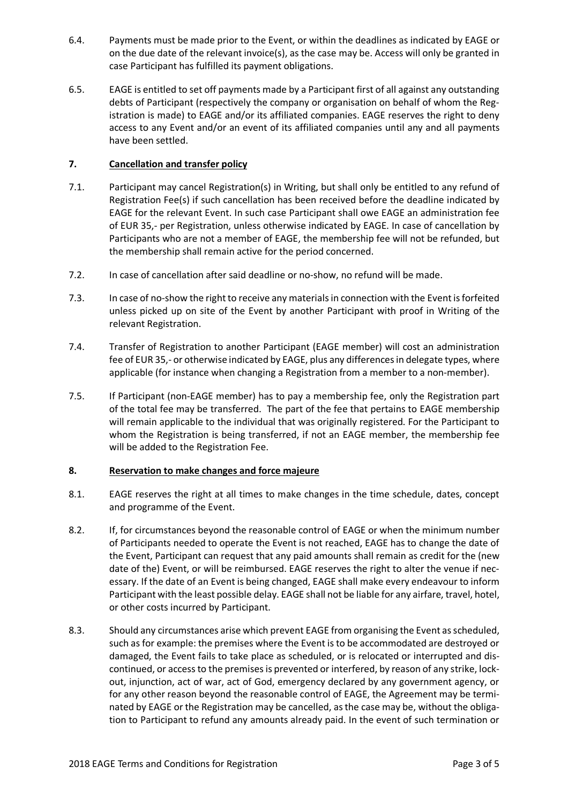- 6.4. Payments must be made prior to the Event, or within the deadlines as indicated by EAGE or on the due date of the relevant invoice(s), as the case may be. Access will only be granted in case Participant has fulfilled its payment obligations.
- 6.5. EAGE is entitled to set off payments made by a Participant first of all against any outstanding debts of Participant (respectively the company or organisation on behalf of whom the Registration is made) to EAGE and/or its affiliated companies. EAGE reserves the right to deny access to any Event and/or an event of its affiliated companies until any and all payments have been settled.

# **7. Cancellation and transfer policy**

- 7.1. Participant may cancel Registration(s) in Writing, but shall only be entitled to any refund of Registration Fee(s) if such cancellation has been received before the deadline indicated by EAGE for the relevant Event. In such case Participant shall owe EAGE an administration fee of EUR 35,- per Registration, unless otherwise indicated by EAGE. In case of cancellation by Participants who are not a member of EAGE, the membership fee will not be refunded, but the membership shall remain active for the period concerned.
- 7.2. In case of cancellation after said deadline or no-show, no refund will be made.
- 7.3. In case of no-show the right to receive any materials in connection with the Event is forfeited unless picked up on site of the Event by another Participant with proof in Writing of the relevant Registration.
- 7.4. Transfer of Registration to another Participant (EAGE member) will cost an administration fee of EUR 35,- or otherwise indicated by EAGE, plus any differences in delegate types, where applicable (for instance when changing a Registration from a member to a non-member).
- 7.5. If Participant (non-EAGE member) has to pay a membership fee, only the Registration part of the total fee may be transferred. The part of the fee that pertains to EAGE membership will remain applicable to the individual that was originally registered. For the Participant to whom the Registration is being transferred, if not an EAGE member, the membership fee will be added to the Registration Fee.

### **8. Reservation to make changes and force majeure**

- 8.1. EAGE reserves the right at all times to make changes in the time schedule, dates, concept and programme of the Event.
- 8.2. If, for circumstances beyond the reasonable control of EAGE or when the minimum number of Participants needed to operate the Event is not reached, EAGE has to change the date of the Event, Participant can request that any paid amounts shall remain as credit for the (new date of the) Event, or will be reimbursed. EAGE reserves the right to alter the venue if necessary. If the date of an Event is being changed, EAGE shall make every endeavour to inform Participant with the least possible delay. EAGE shall not be liable for any airfare, travel, hotel, or other costs incurred by Participant.
- 8.3. Should any circumstances arise which prevent EAGE from organising the Event as scheduled, such as for example: the premises where the Event is to be accommodated are destroyed or damaged, the Event fails to take place as scheduled, or is relocated or interrupted and discontinued, or access to the premises is prevented or interfered, by reason of any strike, lockout, injunction, act of war, act of God, emergency declared by any government agency, or for any other reason beyond the reasonable control of EAGE, the Agreement may be terminated by EAGE or the Registration may be cancelled, as the case may be, without the obligation to Participant to refund any amounts already paid. In the event of such termination or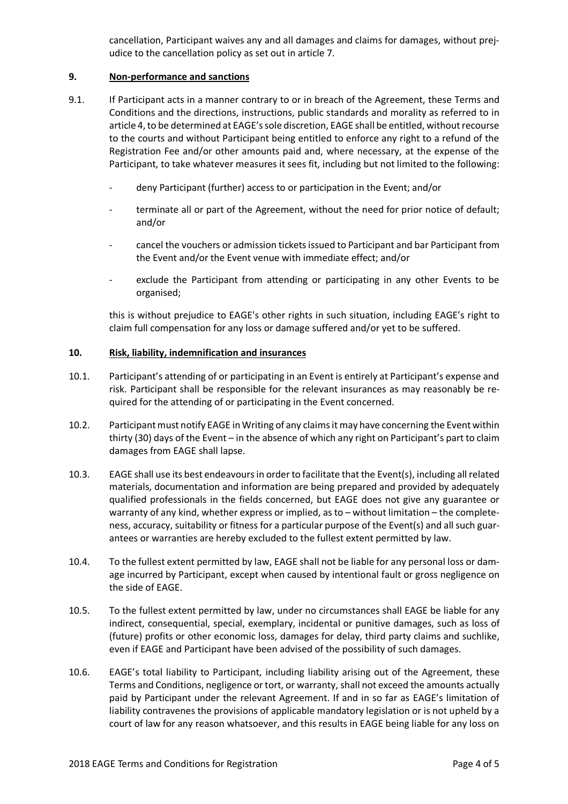cancellation, Participant waives any and all damages and claims for damages, without prejudice to the cancellation policy as set out in article 7.

# **9. Non-performance and sanctions**

- 9.1. If Participant acts in a manner contrary to or in breach of the Agreement, these Terms and Conditions and the directions, instructions, public standards and morality as referred to in article 4,to be determined at EAGE's sole discretion, EAGE shall be entitled, without recourse to the courts and without Participant being entitled to enforce any right to a refund of the Registration Fee and/or other amounts paid and, where necessary, at the expense of the Participant, to take whatever measures it sees fit, including but not limited to the following:
	- deny Participant (further) access to or participation in the Event; and/or
	- terminate all or part of the Agreement, without the need for prior notice of default; and/or
	- cancel the vouchers or admission tickets issued to Participant and bar Participant from the Event and/or the Event venue with immediate effect; and/or
	- exclude the Participant from attending or participating in any other Events to be organised;

this is without prejudice to EAGE's other rights in such situation, including EAGE's right to claim full compensation for any loss or damage suffered and/or yet to be suffered.

### **10. Risk, liability, indemnification and insurances**

- 10.1. Participant's attending of or participating in an Event is entirely at Participant's expense and risk. Participant shall be responsible for the relevant insurances as may reasonably be required for the attending of or participating in the Event concerned.
- 10.2. Participant must notify EAGE in Writing of any claims it may have concerning the Event within thirty (30) days of the Event – in the absence of which any right on Participant's part to claim damages from EAGE shall lapse.
- 10.3. EAGE shall use its best endeavours in order to facilitate that the Event(s), including all related materials, documentation and information are being prepared and provided by adequately qualified professionals in the fields concerned, but EAGE does not give any guarantee or warranty of any kind, whether express or implied, as to – without limitation – the completeness, accuracy, suitability or fitness for a particular purpose of the Event(s) and all such guarantees or warranties are hereby excluded to the fullest extent permitted by law.
- 10.4. To the fullest extent permitted by law, EAGE shall not be liable for any personal loss or damage incurred by Participant, except when caused by intentional fault or gross negligence on the side of EAGE.
- 10.5. To the fullest extent permitted by law, under no circumstances shall EAGE be liable for any indirect, consequential, special, exemplary, incidental or punitive damages, such as loss of (future) profits or other economic loss, damages for delay, third party claims and suchlike, even if EAGE and Participant have been advised of the possibility of such damages.
- 10.6. EAGE's total liability to Participant, including liability arising out of the Agreement, these Terms and Conditions, negligence or tort, or warranty, shall not exceed the amounts actually paid by Participant under the relevant Agreement. If and in so far as EAGE's limitation of liability contravenes the provisions of applicable mandatory legislation or is not upheld by a court of law for any reason whatsoever, and this results in EAGE being liable for any loss on